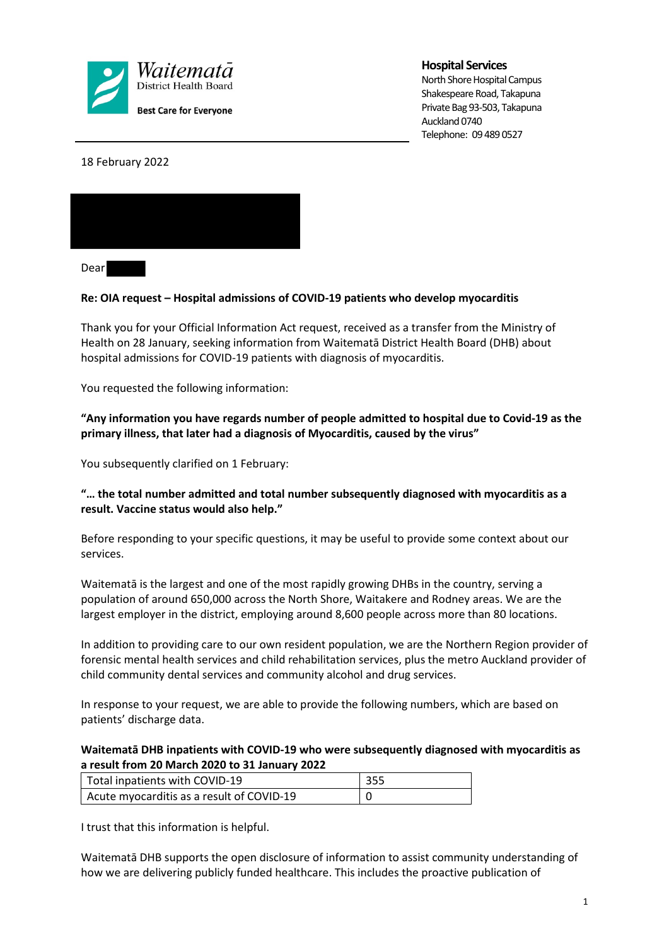

# **Hospital Services**

North Shore Hospital Campus Shakespeare Road, Takapuna Private Bag 93-503, Takapuna Auckland 0740 Telephone: 09 489 0527

18 February 2022



Dear

# **Re: OIA request – Hospital admissions of COVID-19 patients who develop myocarditis**

Thank you for your Official Information Act request, received as a transfer from the Ministry of Health on 28 January, seeking information from Waitematā District Health Board (DHB) about hospital admissions for COVID-19 patients with diagnosis of myocarditis.

You requested the following information:

# **"Any information you have regards number of people admitted to hospital due to Covid-19 as the primary illness, that later had a diagnosis of Myocarditis, caused by the virus"**

You subsequently clarified on 1 February:

# **"… the total number admitted and total number subsequently diagnosed with myocarditis as a result. Vaccine status would also help."**

Before responding to your specific questions, it may be useful to provide some context about our services.

Waitematā is the largest and one of the most rapidly growing DHBs in the country, serving a population of around 650,000 across the North Shore, Waitakere and Rodney areas. We are the largest employer in the district, employing around 8,600 people across more than 80 locations.

In addition to providing care to our own resident population, we are the Northern Region provider of forensic mental health services and child rehabilitation services, plus the metro Auckland provider of child community dental services and community alcohol and drug services.

In response to your request, we are able to provide the following numbers, which are based on patients' discharge data.

# **Waitematā DHB inpatients with COVID-19 who were subsequently diagnosed with myocarditis as a result from 20 March 2020 to 31 January 2022**

| <sup>1</sup> Total inpatients with COVID-19 | 355 |
|---------------------------------------------|-----|
| Acute myocarditis as a result of COVID-19   |     |

I trust that this information is helpful.

Waitematā DHB supports the open disclosure of information to assist community understanding of how we are delivering publicly funded healthcare. This includes the proactive publication of